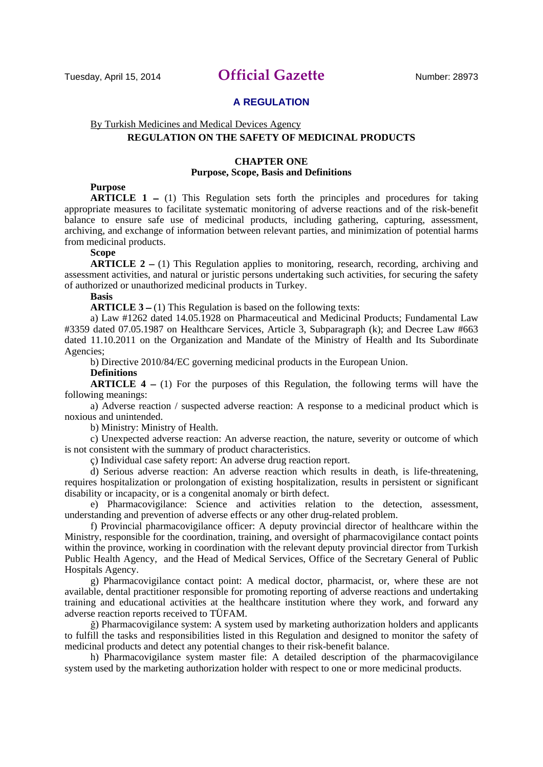## **A REGULATION**

## By Turkish Medicines and Medical Devices Agency

# **REGULATION ON THE SAFETY OF MEDICINAL PRODUCTS**

#### **CHAPTER ONE Purpose, Scope, Basis and Definitions**

## **Purpose**

**ARTICLE 1** – (1) This Regulation sets forth the principles and procedures for taking appropriate measures to facilitate systematic monitoring of adverse reactions and of the risk-benefit balance to ensure safe use of medicinal products, including gathering, capturing, assessment, archiving, and exchange of information between relevant parties, and minimization of potential harms from medicinal products.

## **Scope**

**ARTICLE 2** – (1) This Regulation applies to monitoring, research, recording, archiving and assessment activities, and natural or juristic persons undertaking such activities, for securing the safety of authorized or unauthorized medicinal products in Turkey.

#### **Basis**

**ARTICLE 3** – (1) This Regulation is based on the following texts:

a) Law #1262 dated 14.05.1928 on Pharmaceutical and Medicinal Products; Fundamental Law #3359 dated 07.05.1987 on Healthcare Services, Article 3, Subparagraph (k); and Decree Law #663 dated 11.10.2011 on the Organization and Mandate of the Ministry of Health and Its Subordinate Agencies;

b) Directive 2010/84/EC governing medicinal products in the European Union.

#### **Definitions**

**ARTICLE 4** – (1) For the purposes of this Regulation, the following terms will have the following meanings:

a) Adverse reaction / suspected adverse reaction: A response to a medicinal product which is noxious and unintended.

b) Ministry: Ministry of Health.

c) Unexpected adverse reaction: An adverse reaction, the nature, severity or outcome of which is not consistent with the summary of product characteristics.

ç) Individual case safety report: An adverse drug reaction report.

d) Serious adverse reaction: An adverse reaction which results in death, is life-threatening, requires hospitalization or prolongation of existing hospitalization, results in persistent or significant disability or incapacity, or is a congenital anomaly or birth defect.

e) Pharmacovigilance: Science and activities relation to the detection, assessment, understanding and prevention of adverse effects or any other drug-related problem.

f) Provincial pharmacovigilance officer: A deputy provincial director of healthcare within the Ministry, responsible for the coordination, training, and oversight of pharmacovigilance contact points within the province, working in coordination with the relevant deputy provincial director from Turkish Public Health Agency, and the Head of Medical Services, Office of the Secretary General of Public Hospitals Agency.

g) Pharmacovigilance contact point: A medical doctor, pharmacist, or, where these are not available, dental practitioner responsible for promoting reporting of adverse reactions and undertaking training and educational activities at the healthcare institution where they work, and forward any adverse reaction reports received to TÜFAM.

ğ) Pharmacovigilance system: A system used by marketing authorization holders and applicants to fulfill the tasks and responsibilities listed in this Regulation and designed to monitor the safety of medicinal products and detect any potential changes to their risk-benefit balance.

h) Pharmacovigilance system master file: A detailed description of the pharmacovigilance system used by the marketing authorization holder with respect to one or more medicinal products.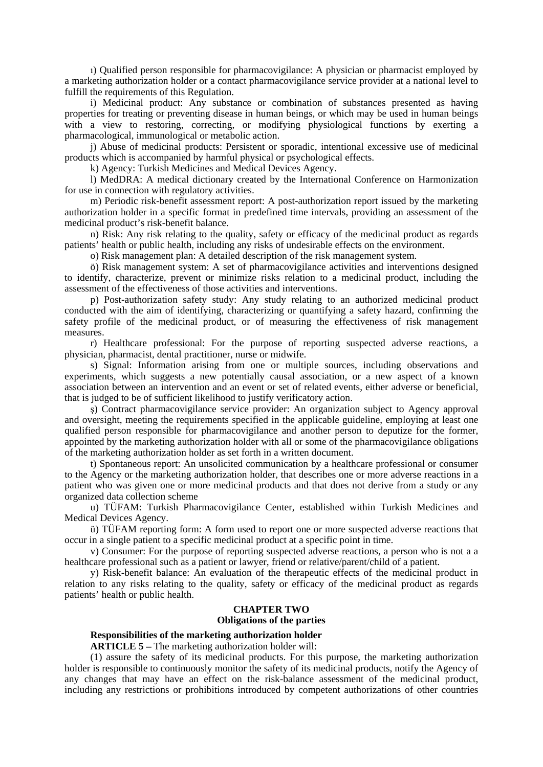ı) Qualified person responsible for pharmacovigilance: A physician or pharmacist employed by a marketing authorization holder or a contact pharmacovigilance service provider at a national level to fulfill the requirements of this Regulation.

i) Medicinal product: Any substance or combination of substances presented as having properties for treating or preventing disease in human beings, or which may be used in human beings with a view to restoring, correcting, or modifying physiological functions by exerting a pharmacological, immunological or metabolic action.

j) Abuse of medicinal products: Persistent or sporadic, intentional excessive use of medicinal products which is accompanied by harmful physical or psychological effects.

k) Agency: Turkish Medicines and Medical Devices Agency.

l) MedDRA: A medical dictionary created by the International Conference on Harmonization for use in connection with regulatory activities.

m) Periodic risk-benefit assessment report: A post-authorization report issued by the marketing authorization holder in a specific format in predefined time intervals, providing an assessment of the medicinal product's risk-benefit balance.

n) Risk: Any risk relating to the quality, safety or efficacy of the medicinal product as regards patients' health or public health, including any risks of undesirable effects on the environment.

o) Risk management plan: A detailed description of the risk management system.

ö) Risk management system: A set of pharmacovigilance activities and interventions designed to identify, characterize, prevent or minimize risks relation to a medicinal product, including the assessment of the effectiveness of those activities and interventions.

p) Post-authorization safety study: Any study relating to an authorized medicinal product conducted with the aim of identifying, characterizing or quantifying a safety hazard, confirming the safety profile of the medicinal product, or of measuring the effectiveness of risk management measures.

r) Healthcare professional: For the purpose of reporting suspected adverse reactions, a physician, pharmacist, dental practitioner, nurse or midwife.

s) Signal: Information arising from one or multiple sources, including observations and experiments, which suggests a new potentially causal association, or a new aspect of a known association between an intervention and an event or set of related events, either adverse or beneficial, that is judged to be of sufficient likelihood to justify verificatory action.

ş) Contract pharmacovigilance service provider: An organization subject to Agency approval and oversight, meeting the requirements specified in the applicable guideline, employing at least one qualified person responsible for pharmacovigilance and another person to deputize for the former, appointed by the marketing authorization holder with all or some of the pharmacovigilance obligations of the marketing authorization holder as set forth in a written document.

t) Spontaneous report: An unsolicited communication by a healthcare professional or consumer to the Agency or the marketing authorization holder, that describes one or more adverse reactions in a patient who was given one or more medicinal products and that does not derive from a study or any organized data collection scheme

u) TÜFAM: Turkish Pharmacovigilance Center, established within Turkish Medicines and Medical Devices Agency.

ü) TÜFAM reporting form: A form used to report one or more suspected adverse reactions that occur in a single patient to a specific medicinal product at a specific point in time.

v) Consumer: For the purpose of reporting suspected adverse reactions, a person who is not a a healthcare professional such as a patient or lawyer, friend or relative/parent/child of a patient.

y) Risk-benefit balance: An evaluation of the therapeutic effects of the medicinal product in relation to any risks relating to the quality, safety or efficacy of the medicinal product as regards patients' health or public health.

#### **CHAPTER TWO Obligations of the parties**

#### **Responsibilities of the marketing authorization holder**

**ARTICLE 5** – The marketing authorization holder will:

(1) assure the safety of its medicinal products. For this purpose, the marketing authorization holder is responsible to continuously monitor the safety of its medicinal products, notify the Agency of any changes that may have an effect on the risk-balance assessment of the medicinal product, including any restrictions or prohibitions introduced by competent authorizations of other countries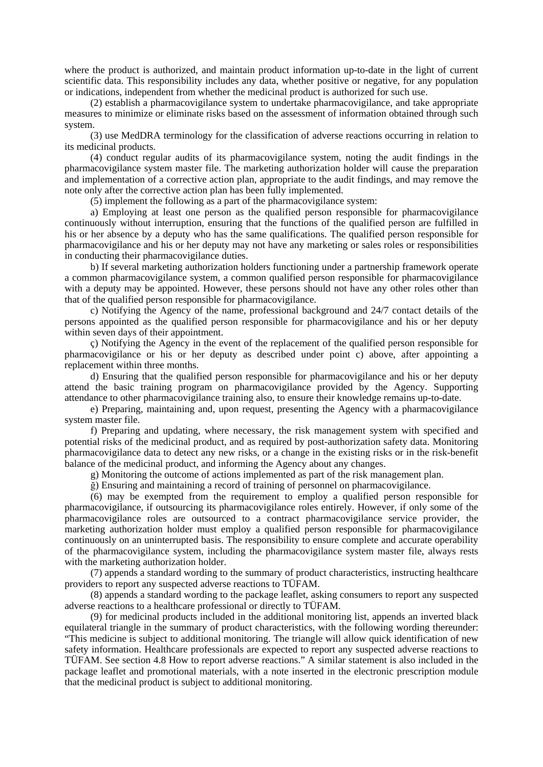where the product is authorized, and maintain product information up-to-date in the light of current scientific data. This responsibility includes any data, whether positive or negative, for any population or indications, independent from whether the medicinal product is authorized for such use.

(2) establish a pharmacovigilance system to undertake pharmacovigilance, and take appropriate measures to minimize or eliminate risks based on the assessment of information obtained through such system.

(3) use MedDRA terminology for the classification of adverse reactions occurring in relation to its medicinal products.

(4) conduct regular audits of its pharmacovigilance system, noting the audit findings in the pharmacovigilance system master file. The marketing authorization holder will cause the preparation and implementation of a corrective action plan, appropriate to the audit findings, and may remove the note only after the corrective action plan has been fully implemented.

(5) implement the following as a part of the pharmacovigilance system:

a) Employing at least one person as the qualified person responsible for pharmacovigilance continuously without interruption, ensuring that the functions of the qualified person are fulfilled in his or her absence by a deputy who has the same qualifications. The qualified person responsible for pharmacovigilance and his or her deputy may not have any marketing or sales roles or responsibilities in conducting their pharmacovigilance duties.

b) If several marketing authorization holders functioning under a partnership framework operate a common pharmacovigilance system, a common qualified person responsible for pharmacovigilance with a deputy may be appointed. However, these persons should not have any other roles other than that of the qualified person responsible for pharmacovigilance.

c) Notifying the Agency of the name, professional background and 24/7 contact details of the persons appointed as the qualified person responsible for pharmacovigilance and his or her deputy within seven days of their appointment.

ç) Notifying the Agency in the event of the replacement of the qualified person responsible for pharmacovigilance or his or her deputy as described under point c) above, after appointing a replacement within three months.

d) Ensuring that the qualified person responsible for pharmacovigilance and his or her deputy attend the basic training program on pharmacovigilance provided by the Agency. Supporting attendance to other pharmacovigilance training also, to ensure their knowledge remains up-to-date.

e) Preparing, maintaining and, upon request, presenting the Agency with a pharmacovigilance system master file.

f) Preparing and updating, where necessary, the risk management system with specified and potential risks of the medicinal product, and as required by post-authorization safety data. Monitoring pharmacovigilance data to detect any new risks, or a change in the existing risks or in the risk-benefit balance of the medicinal product, and informing the Agency about any changes.

g) Monitoring the outcome of actions implemented as part of the risk management plan.

ğ) Ensuring and maintaining a record of training of personnel on pharmacovigilance.

(6) may be exempted from the requirement to employ a qualified person responsible for pharmacovigilance, if outsourcing its pharmacovigilance roles entirely. However, if only some of the pharmacovigilance roles are outsourced to a contract pharmacovigilance service provider, the marketing authorization holder must employ a qualified person responsible for pharmacovigilance continuously on an uninterrupted basis. The responsibility to ensure complete and accurate operability of the pharmacovigilance system, including the pharmacovigilance system master file, always rests with the marketing authorization holder.

(7) appends a standard wording to the summary of product characteristics, instructing healthcare providers to report any suspected adverse reactions to TÜFAM.

(8) appends a standard wording to the package leaflet, asking consumers to report any suspected adverse reactions to a healthcare professional or directly to TÜFAM.

(9) for medicinal products included in the additional monitoring list, appends an inverted black equilateral triangle in the summary of product characteristics, with the following wording thereunder: "This medicine is subject to additional monitoring. The triangle will allow quick identification of new safety information. Healthcare professionals are expected to report any suspected adverse reactions to TÜFAM. See section 4.8 How to report adverse reactions." A similar statement is also included in the package leaflet and promotional materials, with a note inserted in the electronic prescription module that the medicinal product is subject to additional monitoring.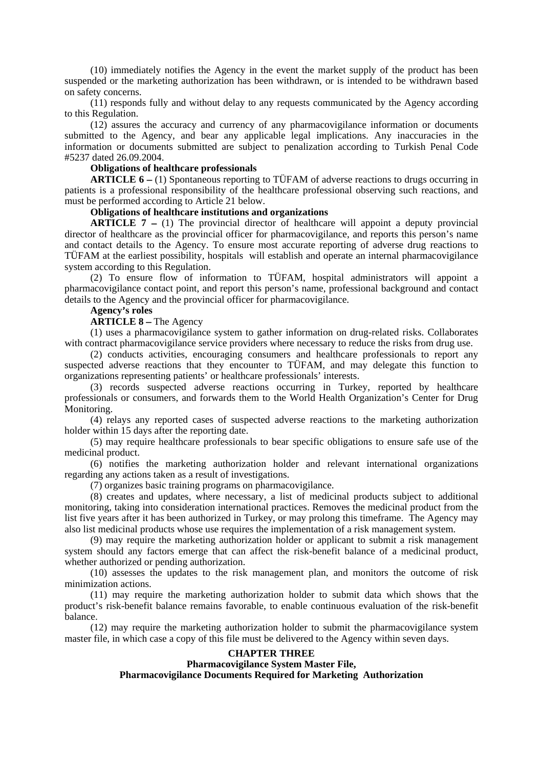(10) immediately notifies the Agency in the event the market supply of the product has been suspended or the marketing authorization has been withdrawn, or is intended to be withdrawn based on safety concerns.

(11) responds fully and without delay to any requests communicated by the Agency according to this Regulation.

(12) assures the accuracy and currency of any pharmacovigilance information or documents submitted to the Agency, and bear any applicable legal implications. Any inaccuracies in the information or documents submitted are subject to penalization according to Turkish Penal Code #5237 dated 26.09.2004.

### **Obligations of healthcare professionals**

**ARTICLE 6** – (1) Spontaneous reporting to TÜFAM of adverse reactions to drugs occurring in patients is a professional responsibility of the healthcare professional observing such reactions, and must be performed according to Article 21 below.

#### **Obligations of healthcare institutions and organizations**

**ARTICLE 7** – (1) The provincial director of healthcare will appoint a deputy provincial director of healthcare as the provincial officer for pharmacovigilance, and reports this person's name and contact details to the Agency. To ensure most accurate reporting of adverse drug reactions to TÜFAM at the earliest possibility, hospitals will establish and operate an internal pharmacovigilance system according to this Regulation.

(2) To ensure flow of information to TÜFAM, hospital administrators will appoint a pharmacovigilance contact point, and report this person's name, professional background and contact details to the Agency and the provincial officer for pharmacovigilance.

#### **Agency**'**s roles**

#### **ARTICLE 8** – The Agency

(1) uses a pharmacovigilance system to gather information on drug-related risks. Collaborates with contract pharmacovigilance service providers where necessary to reduce the risks from drug use.

(2) conducts activities, encouraging consumers and healthcare professionals to report any suspected adverse reactions that they encounter to TÜFAM, and may delegate this function to organizations representing patients' or healthcare professionals' interests.

(3) records suspected adverse reactions occurring in Turkey, reported by healthcare professionals or consumers, and forwards them to the World Health Organization's Center for Drug Monitoring.

(4) relays any reported cases of suspected adverse reactions to the marketing authorization holder within 15 days after the reporting date.

(5) may require healthcare professionals to bear specific obligations to ensure safe use of the medicinal product.

(6) notifies the marketing authorization holder and relevant international organizations regarding any actions taken as a result of investigations.

(7) organizes basic training programs on pharmacovigilance.

(8) creates and updates, where necessary, a list of medicinal products subject to additional monitoring, taking into consideration international practices. Removes the medicinal product from the list five years after it has been authorized in Turkey, or may prolong this timeframe. The Agency may also list medicinal products whose use requires the implementation of a risk management system.

(9) may require the marketing authorization holder or applicant to submit a risk management system should any factors emerge that can affect the risk-benefit balance of a medicinal product, whether authorized or pending authorization.

(10) assesses the updates to the risk management plan, and monitors the outcome of risk minimization actions.

(11) may require the marketing authorization holder to submit data which shows that the product's risk-benefit balance remains favorable, to enable continuous evaluation of the risk-benefit balance.

(12) may require the marketing authorization holder to submit the pharmacovigilance system master file, in which case a copy of this file must be delivered to the Agency within seven days.

### **CHAPTER THREE**

## **Pharmacovigilance System Master File,**

**Pharmacovigilance Documents Required for Marketing Authorization**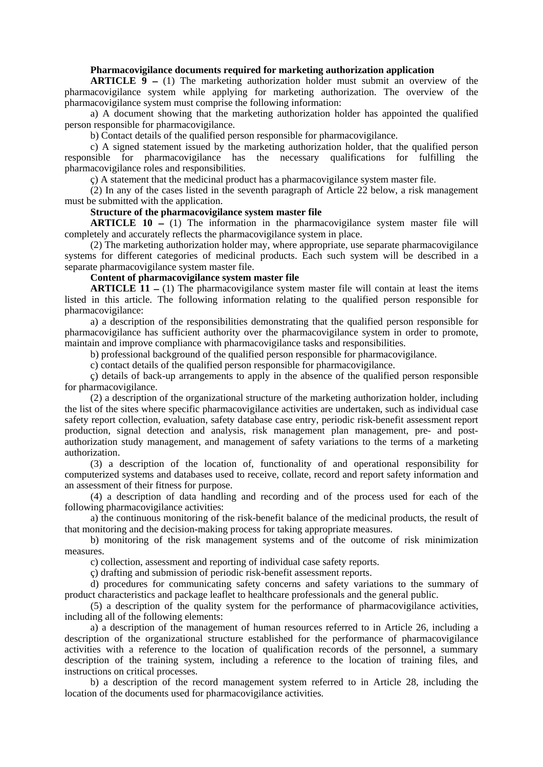#### **Pharmacovigilance documents required for marketing authorization application**

**ARTICLE**  $\overline{9}$  – (1) The marketing authorization holder must submit an overview of the pharmacovigilance system while applying for marketing authorization. The overview of the pharmacovigilance system must comprise the following information:

a) A document showing that the marketing authorization holder has appointed the qualified person responsible for pharmacovigilance.

b) Contact details of the qualified person responsible for pharmacovigilance.

c) A signed statement issued by the marketing authorization holder, that the qualified person responsible for pharmacovigilance has the necessary qualifications for fulfilling the pharmacovigilance roles and responsibilities.

ç) A statement that the medicinal product has a pharmacovigilance system master file.

(2) In any of the cases listed in the seventh paragraph of Article 22 below, a risk management must be submitted with the application.

### **Structure of the pharmacovigilance system master file**

**ARTICLE 10** – (1) The information in the pharmacovigilance system master file will completely and accurately reflects the pharmacovigilance system in place.

(2) The marketing authorization holder may, where appropriate, use separate pharmacovigilance systems for different categories of medicinal products. Each such system will be described in a separate pharmacovigilance system master file.

## **Content of pharmacovigilance system master file**

**ARTICLE** 11  $-$  (1) The pharmacovigilance system master file will contain at least the items listed in this article. The following information relating to the qualified person responsible for pharmacovigilance:

a) a description of the responsibilities demonstrating that the qualified person responsible for pharmacovigilance has sufficient authority over the pharmacovigilance system in order to promote, maintain and improve compliance with pharmacovigilance tasks and responsibilities.

b) professional background of the qualified person responsible for pharmacovigilance.

c) contact details of the qualified person responsible for pharmacovigilance.

ç) details of back-up arrangements to apply in the absence of the qualified person responsible for pharmacovigilance.

(2) a description of the organizational structure of the marketing authorization holder, including the list of the sites where specific pharmacovigilance activities are undertaken, such as individual case safety report collection, evaluation, safety database case entry, periodic risk-benefit assessment report production, signal detection and analysis, risk management plan management, pre- and postauthorization study management, and management of safety variations to the terms of a marketing authorization.

(3) a description of the location of, functionality of and operational responsibility for computerized systems and databases used to receive, collate, record and report safety information and an assessment of their fitness for purpose.

(4) a description of data handling and recording and of the process used for each of the following pharmacovigilance activities:

a) the continuous monitoring of the risk-benefit balance of the medicinal products, the result of that monitoring and the decision-making process for taking appropriate measures.

b) monitoring of the risk management systems and of the outcome of risk minimization measures.

c) collection, assessment and reporting of individual case safety reports.

ç) drafting and submission of periodic risk-benefit assessment reports.

d) procedures for communicating safety concerns and safety variations to the summary of product characteristics and package leaflet to healthcare professionals and the general public.

(5) a description of the quality system for the performance of pharmacovigilance activities, including all of the following elements:

a) a description of the management of human resources referred to in Article 26, including a description of the organizational structure established for the performance of pharmacovigilance activities with a reference to the location of qualification records of the personnel, a summary description of the training system, including a reference to the location of training files, and instructions on critical processes.

b) a description of the record management system referred to in Article 28, including the location of the documents used for pharmacovigilance activities.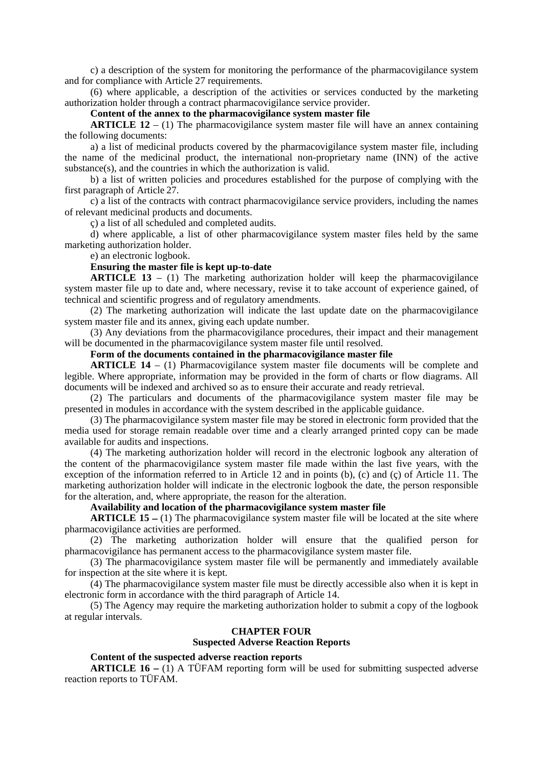c) a description of the system for monitoring the performance of the pharmacovigilance system and for compliance with Article 27 requirements.

(6) where applicable, a description of the activities or services conducted by the marketing authorization holder through a contract pharmacovigilance service provider.

**Content of the annex to the pharmacovigilance system master file** 

**ARTICLE 12** – (1) The pharmacovigilance system master file will have an annex containing the following documents:

a) a list of medicinal products covered by the pharmacovigilance system master file, including the name of the medicinal product, the international non-proprietary name (INN) of the active substance(s), and the countries in which the authorization is valid.

b) a list of written policies and procedures established for the purpose of complying with the first paragraph of Article 27.

c) a list of the contracts with contract pharmacovigilance service providers, including the names of relevant medicinal products and documents.

ç) a list of all scheduled and completed audits.

d) where applicable, a list of other pharmacovigilance system master files held by the same marketing authorization holder.

e) an electronic logbook.

## **Ensuring the master file is kept up-to-date**

**ARTICLE 13** – (1) The marketing authorization holder will keep the pharmacovigilance system master file up to date and, where necessary, revise it to take account of experience gained, of technical and scientific progress and of regulatory amendments.

(2) The marketing authorization will indicate the last update date on the pharmacovigilance system master file and its annex, giving each update number.

(3) Any deviations from the pharmacovigilance procedures, their impact and their management will be documented in the pharmacovigilance system master file until resolved.

## **Form of the documents contained in the pharmacovigilance master file**

**ARTICLE 14** – (1) Pharmacovigilance system master file documents will be complete and legible. Where appropriate, information may be provided in the form of charts or flow diagrams. All documents will be indexed and archived so as to ensure their accurate and ready retrieval.

(2) The particulars and documents of the pharmacovigilance system master file may be presented in modules in accordance with the system described in the applicable guidance.

(3) The pharmacovigilance system master file may be stored in electronic form provided that the media used for storage remain readable over time and a clearly arranged printed copy can be made available for audits and inspections.

(4) The marketing authorization holder will record in the electronic logbook any alteration of the content of the pharmacovigilance system master file made within the last five years, with the exception of the information referred to in Article 12 and in points (b), (c) and (ç) of Article 11. The marketing authorization holder will indicate in the electronic logbook the date, the person responsible for the alteration, and, where appropriate, the reason for the alteration.

# **Availability and location of the pharmacovigilance system master file**

**ARTICLE 15** – (1) The pharmacovigilance system master file will be located at the site where pharmacovigilance activities are performed.

(2) The marketing authorization holder will ensure that the qualified person for pharmacovigilance has permanent access to the pharmacovigilance system master file.

(3) The pharmacovigilance system master file will be permanently and immediately available for inspection at the site where it is kept.

(4) The pharmacovigilance system master file must be directly accessible also when it is kept in electronic form in accordance with the third paragraph of Article 14.

(5) The Agency may require the marketing authorization holder to submit a copy of the logbook at regular intervals.

#### **CHAPTER FOUR**

# **Suspected Adverse Reaction Reports**

## **Content of the suspected adverse reaction reports**

**ARTICLE 16 – (1)** A TÜFAM reporting form will be used for submitting suspected adverse reaction reports to TÜFAM.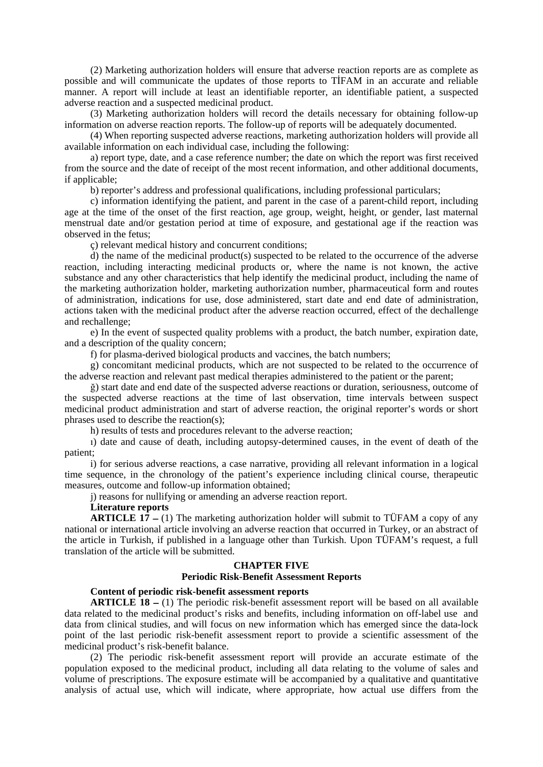(2) Marketing authorization holders will ensure that adverse reaction reports are as complete as possible and will communicate the updates of those reports to TİFAM in an accurate and reliable manner. A report will include at least an identifiable reporter, an identifiable patient, a suspected adverse reaction and a suspected medicinal product.

(3) Marketing authorization holders will record the details necessary for obtaining follow-up information on adverse reaction reports. The follow-up of reports will be adequately documented.

(4) When reporting suspected adverse reactions, marketing authorization holders will provide all available information on each individual case, including the following:

a) report type, date, and a case reference number; the date on which the report was first received from the source and the date of receipt of the most recent information, and other additional documents, if applicable;

b) reporter's address and professional qualifications, including professional particulars;

c) information identifying the patient, and parent in the case of a parent-child report, including age at the time of the onset of the first reaction, age group, weight, height, or gender, last maternal menstrual date and/or gestation period at time of exposure, and gestational age if the reaction was observed in the fetus;

ç) relevant medical history and concurrent conditions;

d) the name of the medicinal product(s) suspected to be related to the occurrence of the adverse reaction, including interacting medicinal products or, where the name is not known, the active substance and any other characteristics that help identify the medicinal product, including the name of the marketing authorization holder, marketing authorization number, pharmaceutical form and routes of administration, indications for use, dose administered, start date and end date of administration, actions taken with the medicinal product after the adverse reaction occurred, effect of the dechallenge and rechallenge;

e) In the event of suspected quality problems with a product, the batch number, expiration date, and a description of the quality concern;

f) for plasma-derived biological products and vaccines, the batch numbers;

g) concomitant medicinal products, which are not suspected to be related to the occurrence of the adverse reaction and relevant past medical therapies administered to the patient or the parent;

ğ) start date and end date of the suspected adverse reactions or duration, seriousness, outcome of the suspected adverse reactions at the time of last observation, time intervals between suspect medicinal product administration and start of adverse reaction, the original reporter's words or short phrases used to describe the reaction(s);

h) results of tests and procedures relevant to the adverse reaction;

ı) date and cause of death, including autopsy-determined causes, in the event of death of the patient;

i) for serious adverse reactions, a case narrative, providing all relevant information in a logical time sequence, in the chronology of the patient's experience including clinical course, therapeutic measures, outcome and follow-up information obtained;

j) reasons for nullifying or amending an adverse reaction report.

## **Literature reports**

**ARTICLE 17** – (1) The marketing authorization holder will submit to TÜFAM a copy of any national or international article involving an adverse reaction that occurred in Turkey, or an abstract of the article in Turkish, if published in a language other than Turkish. Upon TÜFAM's request, a full translation of the article will be submitted.

#### **CHAPTER FIVE**

#### **Periodic Risk-Benefit Assessment Reports**

#### **Content of periodic risk-benefit assessment reports**

**ARTICLE 18** – (1) The periodic risk-benefit assessment report will be based on all available data related to the medicinal product's risks and benefits, including information on off-label use and data from clinical studies, and will focus on new information which has emerged since the data-lock point of the last periodic risk-benefit assessment report to provide a scientific assessment of the medicinal product's risk-benefit balance.

(2) The periodic risk-benefit assessment report will provide an accurate estimate of the population exposed to the medicinal product, including all data relating to the volume of sales and volume of prescriptions. The exposure estimate will be accompanied by a qualitative and quantitative analysis of actual use, which will indicate, where appropriate, how actual use differs from the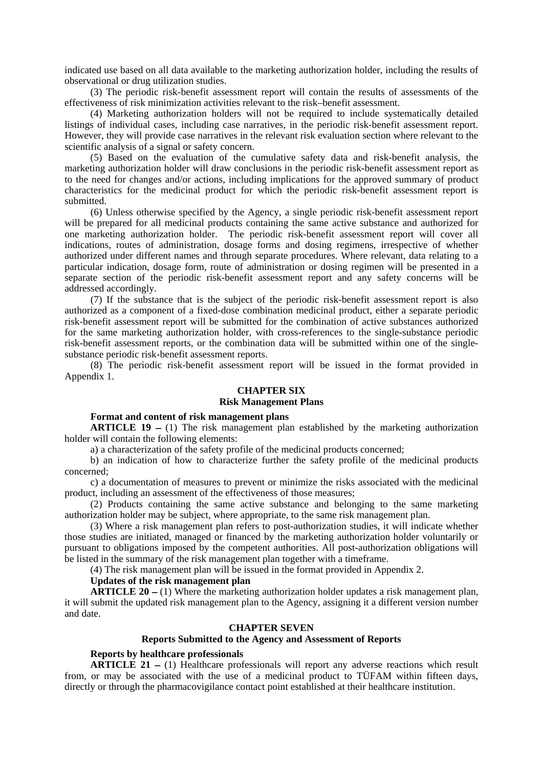indicated use based on all data available to the marketing authorization holder, including the results of observational or drug utilization studies.

(3) The periodic risk-benefit assessment report will contain the results of assessments of the effectiveness of risk minimization activities relevant to the risk–benefit assessment.

(4) Marketing authorization holders will not be required to include systematically detailed listings of individual cases, including case narratives, in the periodic risk-benefit assessment report. However, they will provide case narratives in the relevant risk evaluation section where relevant to the scientific analysis of a signal or safety concern.

(5) Based on the evaluation of the cumulative safety data and risk-benefit analysis, the marketing authorization holder will draw conclusions in the periodic risk-benefit assessment report as to the need for changes and/or actions, including implications for the approved summary of product characteristics for the medicinal product for which the periodic risk-benefit assessment report is submitted.

(6) Unless otherwise specified by the Agency, a single periodic risk-benefit assessment report will be prepared for all medicinal products containing the same active substance and authorized for one marketing authorization holder. The periodic risk-benefit assessment report will cover all indications, routes of administration, dosage forms and dosing regimens, irrespective of whether authorized under different names and through separate procedures. Where relevant, data relating to a particular indication, dosage form, route of administration or dosing regimen will be presented in a separate section of the periodic risk-benefit assessment report and any safety concerns will be addressed accordingly.

(7) If the substance that is the subject of the periodic risk-benefit assessment report is also authorized as a component of a fixed-dose combination medicinal product, either a separate periodic risk-benefit assessment report will be submitted for the combination of active substances authorized for the same marketing authorization holder, with cross-references to the single-substance periodic risk-benefit assessment reports, or the combination data will be submitted within one of the singlesubstance periodic risk-benefit assessment reports.

(8) The periodic risk-benefit assessment report will be issued in the format provided in Appendix 1.

## **CHAPTER SIX**

## **Risk Management Plans**

## **Format and content of risk management plans**

**ARTICLE 19** – (1) The risk management plan established by the marketing authorization holder will contain the following elements:

a) a characterization of the safety profile of the medicinal products concerned;

b) an indication of how to characterize further the safety profile of the medicinal products concerned;

c) a documentation of measures to prevent or minimize the risks associated with the medicinal product, including an assessment of the effectiveness of those measures;

(2) Products containing the same active substance and belonging to the same marketing authorization holder may be subject, where appropriate, to the same risk management plan.

(3) Where a risk management plan refers to post-authorization studies, it will indicate whether those studies are initiated, managed or financed by the marketing authorization holder voluntarily or pursuant to obligations imposed by the competent authorities. All post-authorization obligations will be listed in the summary of the risk management plan together with a timeframe.

(4) The risk management plan will be issued in the format provided in Appendix 2.

#### **Updates of the risk management plan**

**ARTICLE 20** – (1) Where the marketing authorization holder updates a risk management plan, it will submit the updated risk management plan to the Agency, assigning it a different version number and date.

#### **CHAPTER SEVEN**

#### **Reports Submitted to the Agency and Assessment of Reports**

## **Reports by healthcare professionals**

**ARTICLE 21** – (1) Healthcare professionals will report any adverse reactions which result from, or may be associated with the use of a medicinal product to TÜFAM within fifteen days, directly or through the pharmacovigilance contact point established at their healthcare institution.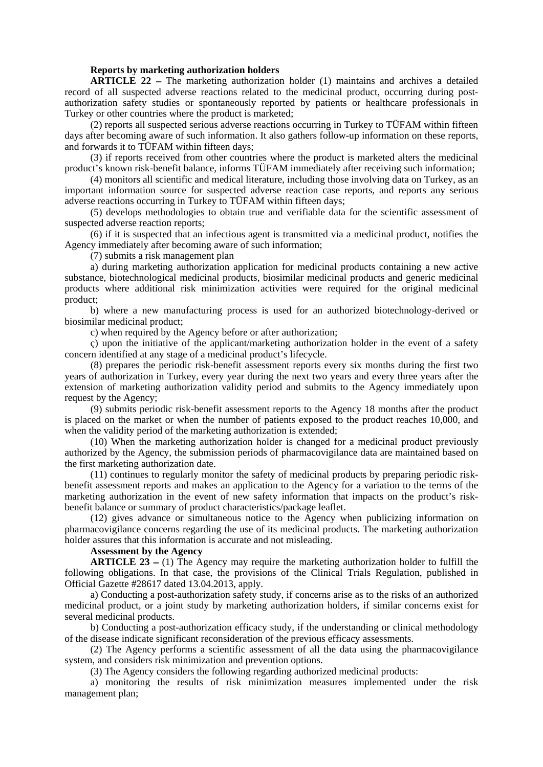#### **Reports by marketing authorization holders**

**ARTICLE 22** – The marketing authorization holder (1) maintains and archives a detailed record of all suspected adverse reactions related to the medicinal product, occurring during postauthorization safety studies or spontaneously reported by patients or healthcare professionals in Turkey or other countries where the product is marketed;

(2) reports all suspected serious adverse reactions occurring in Turkey to TÜFAM within fifteen days after becoming aware of such information. It also gathers follow-up information on these reports, and forwards it to TÜFAM within fifteen days;

(3) if reports received from other countries where the product is marketed alters the medicinal product's known risk-benefit balance, informs TÜFAM immediately after receiving such information;

(4) monitors all scientific and medical literature, including those involving data on Turkey, as an important information source for suspected adverse reaction case reports, and reports any serious adverse reactions occurring in Turkey to TÜFAM within fifteen days;

(5) develops methodologies to obtain true and verifiable data for the scientific assessment of suspected adverse reaction reports;

(6) if it is suspected that an infectious agent is transmitted via a medicinal product, notifies the Agency immediately after becoming aware of such information;

(7) submits a risk management plan

a) during marketing authorization application for medicinal products containing a new active substance, biotechnological medicinal products, biosimilar medicinal products and generic medicinal products where additional risk minimization activities were required for the original medicinal product;

b) where a new manufacturing process is used for an authorized biotechnology-derived or biosimilar medicinal product;

c) when required by the Agency before or after authorization;

ç) upon the initiative of the applicant/marketing authorization holder in the event of a safety concern identified at any stage of a medicinal product's lifecycle.

(8) prepares the periodic risk-benefit assessment reports every six months during the first two years of authorization in Turkey, every year during the next two years and every three years after the extension of marketing authorization validity period and submits to the Agency immediately upon request by the Agency;

(9) submits periodic risk-benefit assessment reports to the Agency 18 months after the product is placed on the market or when the number of patients exposed to the product reaches 10,000, and when the validity period of the marketing authorization is extended;

(10) When the marketing authorization holder is changed for a medicinal product previously authorized by the Agency, the submission periods of pharmacovigilance data are maintained based on the first marketing authorization date.

(11) continues to regularly monitor the safety of medicinal products by preparing periodic riskbenefit assessment reports and makes an application to the Agency for a variation to the terms of the marketing authorization in the event of new safety information that impacts on the product's riskbenefit balance or summary of product characteristics/package leaflet.

(12) gives advance or simultaneous notice to the Agency when publicizing information on pharmacovigilance concerns regarding the use of its medicinal products. The marketing authorization holder assures that this information is accurate and not misleading.

#### **Assessment by the Agency**

**ARTICLE 23** – (1) The Agency may require the marketing authorization holder to fulfill the following obligations. In that case, the provisions of the Clinical Trials Regulation, published in Official Gazette #28617 dated 13.04.2013, apply.

a) Conducting a post-authorization safety study, if concerns arise as to the risks of an authorized medicinal product, or a joint study by marketing authorization holders, if similar concerns exist for several medicinal products.

b) Conducting a post-authorization efficacy study, if the understanding or clinical methodology of the disease indicate significant reconsideration of the previous efficacy assessments.

(2) The Agency performs a scientific assessment of all the data using the pharmacovigilance system, and considers risk minimization and prevention options.

(3) The Agency considers the following regarding authorized medicinal products:

a) monitoring the results of risk minimization measures implemented under the risk management plan;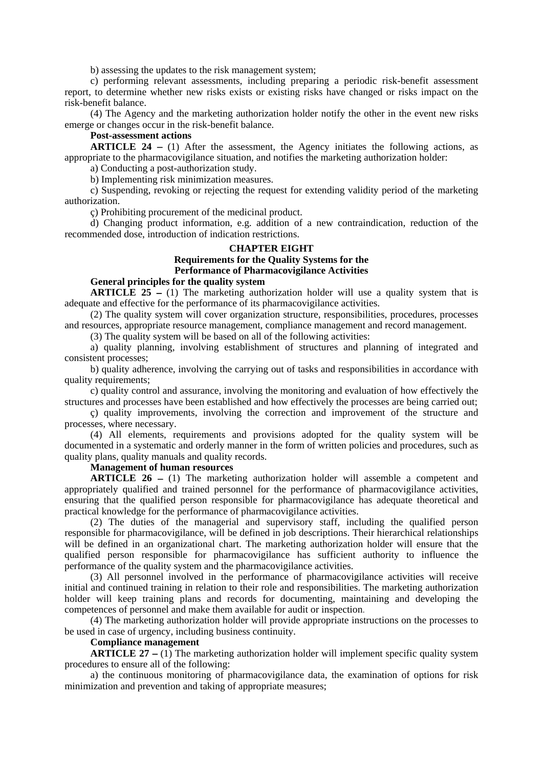b) assessing the updates to the risk management system;

c) performing relevant assessments, including preparing a periodic risk-benefit assessment report, to determine whether new risks exists or existing risks have changed or risks impact on the risk-benefit balance.

(4) The Agency and the marketing authorization holder notify the other in the event new risks emerge or changes occur in the risk-benefit balance.

# **Post-assessment actions**

**ARTICLE 24** – (1) After the assessment, the Agency initiates the following actions, as appropriate to the pharmacovigilance situation, and notifies the marketing authorization holder:

a) Conducting a post-authorization study.

b) Implementing risk minimization measures.

c) Suspending, revoking or rejecting the request for extending validity period of the marketing authorization.

ç) Prohibiting procurement of the medicinal product.

d) Changing product information, e.g. addition of a new contraindication, reduction of the recommended dose, introduction of indication restrictions.

# **CHAPTER EIGHT Requirements for the Quality Systems for the Performance of Pharmacovigilance Activities**

## **General principles for the quality system**

**ARTICLE 25** – (1) The marketing authorization holder will use a quality system that is adequate and effective for the performance of its pharmacovigilance activities.

(2) The quality system will cover organization structure, responsibilities, procedures, processes and resources, appropriate resource management, compliance management and record management.

(3) The quality system will be based on all of the following activities:

a) quality planning, involving establishment of structures and planning of integrated and consistent processes;

b) quality adherence, involving the carrying out of tasks and responsibilities in accordance with quality requirements;

c) quality control and assurance, involving the monitoring and evaluation of how effectively the structures and processes have been established and how effectively the processes are being carried out;

ç) quality improvements, involving the correction and improvement of the structure and processes, where necessary.

(4) All elements, requirements and provisions adopted for the quality system will be documented in a systematic and orderly manner in the form of written policies and procedures, such as quality plans, quality manuals and quality records.

#### **Management of human resources**

**ARTICLE 26** – (1) The marketing authorization holder will assemble a competent and appropriately qualified and trained personnel for the performance of pharmacovigilance activities, ensuring that the qualified person responsible for pharmacovigilance has adequate theoretical and practical knowledge for the performance of pharmacovigilance activities.

(2) The duties of the managerial and supervisory staff, including the qualified person responsible for pharmacovigilance, will be defined in job descriptions. Their hierarchical relationships will be defined in an organizational chart. The marketing authorization holder will ensure that the qualified person responsible for pharmacovigilance has sufficient authority to influence the performance of the quality system and the pharmacovigilance activities.

(3) All personnel involved in the performance of pharmacovigilance activities will receive initial and continued training in relation to their role and responsibilities. The marketing authorization holder will keep training plans and records for documenting, maintaining and developing the competences of personnel and make them available for audit or inspection.

(4) The marketing authorization holder will provide appropriate instructions on the processes to be used in case of urgency, including business continuity.

## **Compliance management**

**ARTICLE** 27 – (1) The marketing authorization holder will implement specific quality system procedures to ensure all of the following:

a) the continuous monitoring of pharmacovigilance data, the examination of options for risk minimization and prevention and taking of appropriate measures;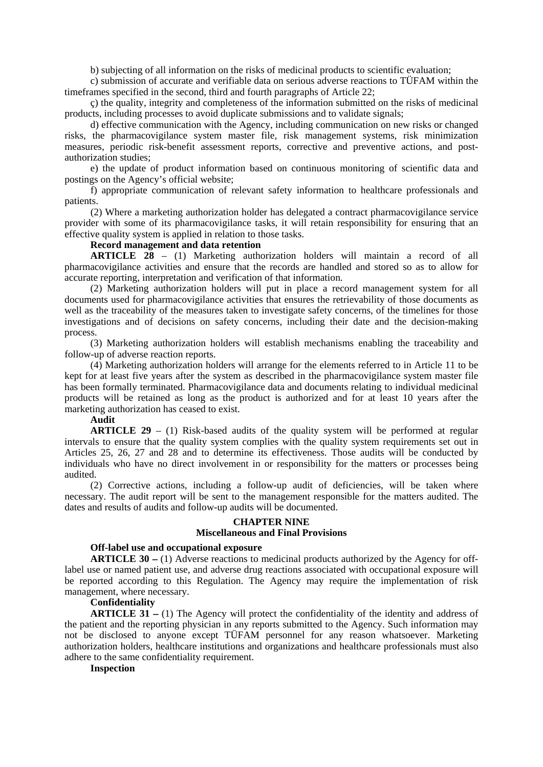b) subjecting of all information on the risks of medicinal products to scientific evaluation;

c) submission of accurate and verifiable data on serious adverse reactions to TÜFAM within the timeframes specified in the second, third and fourth paragraphs of Article 22;

ç) the quality, integrity and completeness of the information submitted on the risks of medicinal products, including processes to avoid duplicate submissions and to validate signals;

d) effective communication with the Agency, including communication on new risks or changed risks, the pharmacovigilance system master file, risk management systems, risk minimization measures, periodic risk-benefit assessment reports, corrective and preventive actions, and postauthorization studies;

e) the update of product information based on continuous monitoring of scientific data and postings on the Agency's official website;

f) appropriate communication of relevant safety information to healthcare professionals and patients.

(2) Where a marketing authorization holder has delegated a contract pharmacovigilance service provider with some of its pharmacovigilance tasks, it will retain responsibility for ensuring that an effective quality system is applied in relation to those tasks.

## **Record management and data retention**

**ARTICLE 28** – (1) Marketing authorization holders will maintain a record of all pharmacovigilance activities and ensure that the records are handled and stored so as to allow for accurate reporting, interpretation and verification of that information.

(2) Marketing authorization holders will put in place a record management system for all documents used for pharmacovigilance activities that ensures the retrievability of those documents as well as the traceability of the measures taken to investigate safety concerns, of the timelines for those investigations and of decisions on safety concerns, including their date and the decision-making process.

(3) Marketing authorization holders will establish mechanisms enabling the traceability and follow-up of adverse reaction reports.

(4) Marketing authorization holders will arrange for the elements referred to in Article 11 to be kept for at least five years after the system as described in the pharmacovigilance system master file has been formally terminated. Pharmacovigilance data and documents relating to individual medicinal products will be retained as long as the product is authorized and for at least 10 years after the marketing authorization has ceased to exist.

# **Audit**

**ARTICLE 29** – (1) Risk-based audits of the quality system will be performed at regular intervals to ensure that the quality system complies with the quality system requirements set out in Articles 25, 26, 27 and 28 and to determine its effectiveness. Those audits will be conducted by individuals who have no direct involvement in or responsibility for the matters or processes being audited.

(2) Corrective actions, including a follow-up audit of deficiencies, will be taken where necessary. The audit report will be sent to the management responsible for the matters audited. The dates and results of audits and follow-up audits will be documented.

# **CHAPTER NINE**

# **Miscellaneous and Final Provisions**

### **Off-label use and occupational exposure**

**ARTICLE 30** – (1) Adverse reactions to medicinal products authorized by the Agency for offlabel use or named patient use, and adverse drug reactions associated with occupational exposure will be reported according to this Regulation. The Agency may require the implementation of risk management, where necessary.

## **Confidentiality**

**ARTICLE 31** – (1) The Agency will protect the confidentiality of the identity and address of the patient and the reporting physician in any reports submitted to the Agency. Such information may not be disclosed to anyone except TÜFAM personnel for any reason whatsoever. Marketing authorization holders, healthcare institutions and organizations and healthcare professionals must also adhere to the same confidentiality requirement.

### **Inspection**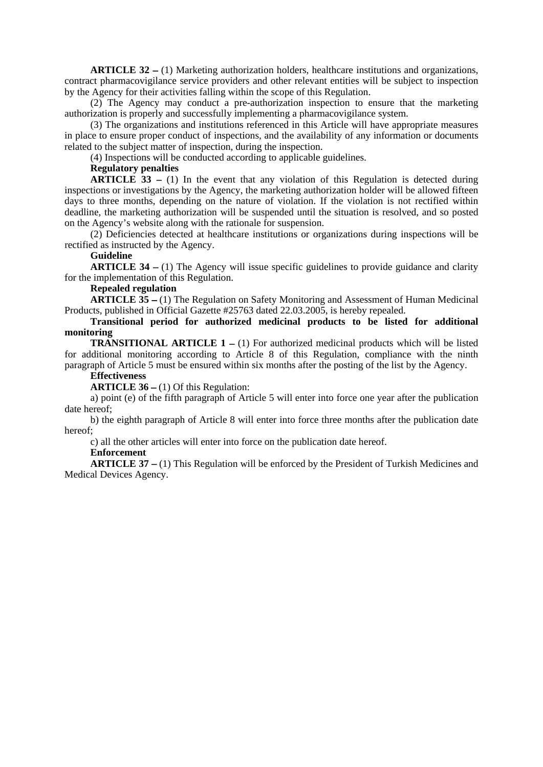**ARTICLE 32** – (1) Marketing authorization holders, healthcare institutions and organizations, contract pharmacovigilance service providers and other relevant entities will be subject to inspection by the Agency for their activities falling within the scope of this Regulation.

(2) The Agency may conduct a pre-authorization inspection to ensure that the marketing authorization is properly and successfully implementing a pharmacovigilance system.

(3) The organizations and institutions referenced in this Article will have appropriate measures in place to ensure proper conduct of inspections, and the availability of any information or documents related to the subject matter of inspection, during the inspection.

(4) Inspections will be conducted according to applicable guidelines.

## **Regulatory penalties**

**ARTICLE**  $\overline{33}$  – (1) In the event that any violation of this Regulation is detected during inspections or investigations by the Agency, the marketing authorization holder will be allowed fifteen days to three months, depending on the nature of violation. If the violation is not rectified within deadline, the marketing authorization will be suspended until the situation is resolved, and so posted on the Agency's website along with the rationale for suspension.

(2) Deficiencies detected at healthcare institutions or organizations during inspections will be rectified as instructed by the Agency.

## **Guideline**

**ARTICLE 34** – (1) The Agency will issue specific guidelines to provide guidance and clarity for the implementation of this Regulation.

#### **Repealed regulation**

**ARTICLE 35** – (1) The Regulation on Safety Monitoring and Assessment of Human Medicinal Products, published in Official Gazette #25763 dated 22.03.2005, is hereby repealed.

**Transitional period for authorized medicinal products to be listed for additional monitoring** 

**TRANSITIONAL ARTICLE 1** – (1) For authorized medicinal products which will be listed for additional monitoring according to Article 8 of this Regulation, compliance with the ninth paragraph of Article 5 must be ensured within six months after the posting of the list by the Agency.

## **Effectiveness**

**ARTICLE 36** – (1) Of this Regulation:

a) point (e) of the fifth paragraph of Article 5 will enter into force one year after the publication date hereof;

b) the eighth paragraph of Article 8 will enter into force three months after the publication date hereof;

c) all the other articles will enter into force on the publication date hereof.

#### **Enforcement**

**ARTICLE 37** – (1) This Regulation will be enforced by the President of Turkish Medicines and Medical Devices Agency.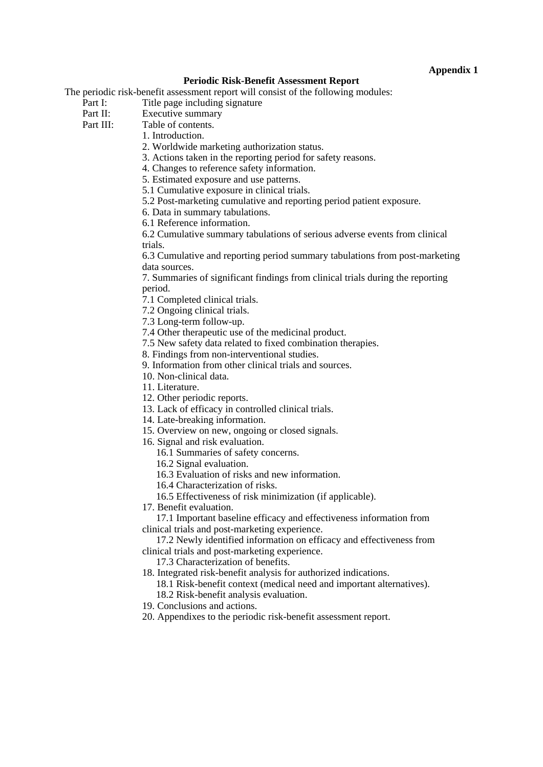## **Appendix 1**

## **Periodic Risk-Benefit Assessment Report**

The periodic risk-benefit assessment report will consist of the following modules:

Part I: Title page including signature

Part II: Executive summary<br>Part III: Table of contents.

Table of contents. 1. Introduction.

2. Worldwide marketing authorization status.

3. Actions taken in the reporting period for safety reasons.

4. Changes to reference safety information.

5. Estimated exposure and use patterns.

5.1 Cumulative exposure in clinical trials.

5.2 Post-marketing cumulative and reporting period patient exposure.

6. Data in summary tabulations.

6.1 Reference information.

6.2 Cumulative summary tabulations of serious adverse events from clinical trials.

6.3 Cumulative and reporting period summary tabulations from post-marketing data sources.

7. Summaries of significant findings from clinical trials during the reporting period.

7.1 Completed clinical trials.

7.2 Ongoing clinical trials.

7.3 Long-term follow-up.

7.4 Other therapeutic use of the medicinal product.

7.5 New safety data related to fixed combination therapies.

8. Findings from non-interventional studies.

9. Information from other clinical trials and sources.

10. Non-clinical data.

11. Literature.

12. Other periodic reports.

13. Lack of efficacy in controlled clinical trials.

14. Late-breaking information.

15. Overview on new, ongoing or closed signals.

16. Signal and risk evaluation.

16.1 Summaries of safety concerns.

16.2 Signal evaluation.

16.3 Evaluation of risks and new information.

16.4 Characterization of risks.

16.5 Effectiveness of risk minimization (if applicable).

17. Benefit evaluation.

17.1 Important baseline efficacy and effectiveness information from clinical trials and post-marketing experience.

17.2 Newly identified information on efficacy and effectiveness from clinical trials and post-marketing experience.

17.3 Characterization of benefits.

18. Integrated risk-benefit analysis for authorized indications.

18.1 Risk-benefit context (medical need and important alternatives). 18.2 Risk-benefit analysis evaluation.

19. Conclusions and actions.

20. Appendixes to the periodic risk-benefit assessment report.